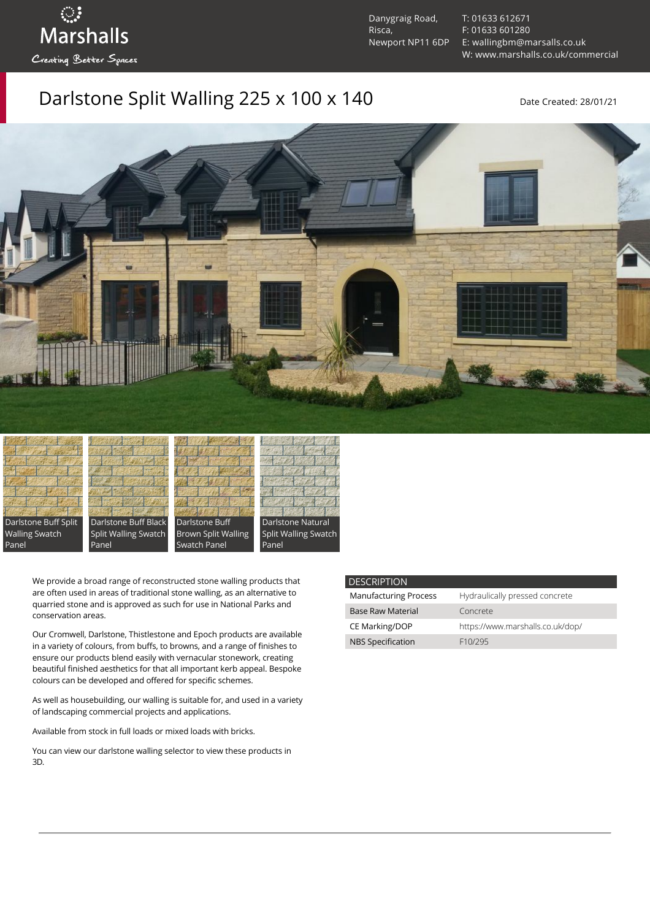Danygraig Road, Risca, Newport NP11 6DP [T: 01633 612671](tel:01633%20612671) [F: 01633 601280](tel:01633%20601280) [E: wallingbm@marsalls.co.uk](mailto:wallingbm@marsalls.co.uk) [W: www.marshalls.co.uk/commercial](https://www.marshalls.co.uk/commercial)

## Darlstone Split Walling 225 x 100 x 140 Date Created: 28/01/21





ः<br>Marshalls

Creating Better Spaces







Panel

We provide a broad range of reconstructed stone walling products that are often used in areas of traditional stone walling, as an alternative to quarried stone and is approved as such for use in National Parks and conservation areas.

Our [Cromwell](https://www.marshalls.co.uk/commercial/product/cromwell-stone-walling), Darlstone, [Thistlestone](https://www.marshalls.co.uk/commercial/product/thistlestone-stone-walling) and Epoch products are available in a variety of colours, from buffs, to browns, and a range of finishes to ensure our products blend easily with vernacular stonework, creating beautiful finished aesthetics for that all important kerb appeal. Bespoke colours can be developed and offered for specific schemes.

As well as housebuilding, our walling is suitable for, and used in a variety of landscaping commercial projects and applications.

Available from stock in full loads or mixed loads with bricks.

You can view our [darlstone walling selector](https://www.paverpicker.com/paverpicker/?u=edenhall&cat=walling&subcat=darlstone_walling) to view these products in 3D.

| <b>DESCRIPTION</b>           |                                  |
|------------------------------|----------------------------------|
| <b>Manufacturing Process</b> | Hydraulically pressed concrete   |
| <b>Base Raw Material</b>     | Concrete                         |
| CE Marking/DOP               | https://www.marshalls.co.uk/dop/ |
| <b>NBS Specification</b>     | F10/295                          |